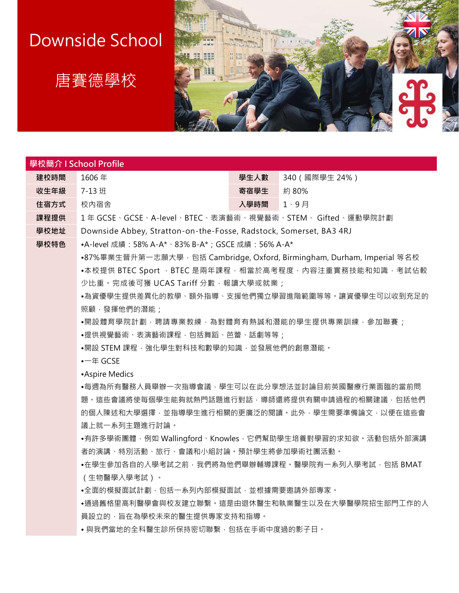# Downside School

## 唐賽德學校



#### **學校簡介 I School Profile**

**建校時間** 1606 年 **學生人數** 340(國際學生 24%)

**收生年級 7-13 班** 住宿方式 校内宿舍

| 字土八数 | つ4∪ ( 図)示 |  |  |
|------|-----------|--|--|
| 寄宿學生 | 約 80%     |  |  |
| 入學時間 |           |  |  |

**課程提供** 1 年 GCSE、GCSE、A-level、BTEC、表演藝術、視覺藝術、STEM、 Gifted、運動學院計劃

**學校地址** Downside Abbey, Stratton-on-the-Fosse, Radstock, Somerset, BA3 4RJ

**學校特色** •A-level 成績:58% A-A\*、83% B-A\*;GSCE 成績:56% A-A\*

•87%畢業生晉升第一志願大學,包括 Cambridge, Oxford, Birmingham, Durham, Imperial 等名校 •本校提供 BTEC Sport , BTEC 是兩年課程,相當於高考程度,內容注重實務技能和知識,考試佔較 少比重。完成後可獲 UCAS Tariff 分數,報讀大學或就業;

•為資優學生提供差異化的教學、額外指導、支援他們獨立學習進階範圍等等。讓資優學生可以收到充足的 照顧,發揮他們的潛能;

•開設體育學院計劃,聘請專業教練,為對體育有熱誠和潛能的學生提供專業訓練,參加聯賽;

•提供視覺藝術、表演藝術課程,包括舞蹈、芭蕾、話劇等等;

•開設 STEM 課程,強化學生對科技和數學的知識,並發展他們的創意潛能。

•一年 GCSE

•Aspire Medics

•每週為所有醫務人員舉辦一次指導會議,學生可以在此分享想法並討論目前英國醫療行業面臨的當前問 題。這些會議將使每個學生能夠就熱門話題進行對話,導師還將提供有關申請過程的相關建議,包括他們 的個人陳述和大學選擇,並指導學生進行相關的更廣泛的閱讀。此外,學生需要準備論文,以便在這些會 議上就一系列主題進行討論。

•有許多學術團體, 例如 Wallingford、Knowles, 它們幫助學生培養對學習的求知欲。活動包括外部演講 者的演講、特別活動、旅行、會議和小組討論。預計學生將參加學術社團活動。

•在學生參加各自的入學考試之前,我們將為他們舉辦輔導課程。醫學院有一系列入學考試,包括 BMAT (生物醫學入學考試)。

●全面的模擬面試計劃, 包括一系列內部模擬面試, 並根據需要邀請外部專家。

•通過舊格里高利醫學會與校友建立聯繫。這是由退休醫生和執業醫生以及在大學醫學院招生部門工作的人 員設立的,旨在為學校未來的醫生提供專家支持和指導。

• 與我們當地的全科醫生診所保持密切聯繫, 包括在手術中度過的影子日。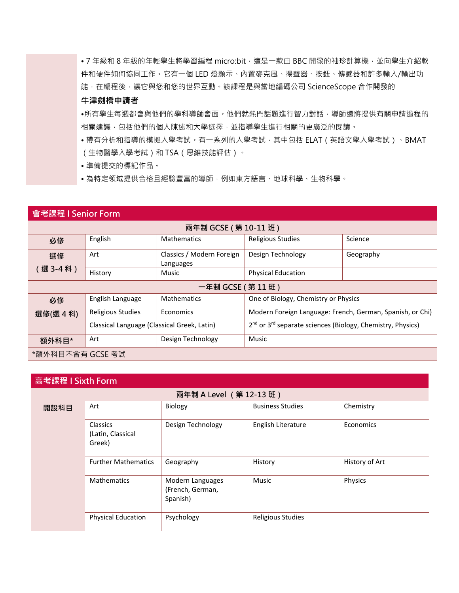• 7 年級和 8 年級的年輕學生將學習編程 micro:bit,這是一款由 BBC 開發的袖珍計算機,並向學生介紹軟 件和硬件如何協同工作。它有一個 LED 燈顯示、內置麥克風、揚聲器、按鈕、傳感器和許多輸入/輸出功 能,在編程後,讓它與您和您的世界互動。該課程是與當地編碼公司 ScienceScope 合作開發的

#### **牛津劍橋申請者**

•所有學生每週都會與他們的學科導師會面。他們就熱門話題進行智力對話,導師還將提供有關申請過程的 相關建議,包括他們的個人陳述和大學選擇,並指導學生進行相關的更廣泛的閱讀。

• 帶有分析和指導的模擬入學考試。有一系列的入學考試,其中包括 ELAT ( 英語文學入學考試 ) 、BMAT (生物醫學入學考試)和 TSA(思維技能評估)。

• 準備提交的標記作品。

•為特定領域提供合格且經驗豐富的導師,例如東方語言、地球科學、生物科學。

#### **會考課程 I Senior Form**

| 兩年制 GCSE (第10-11 班) |                                             |                                        |                                                                                    |           |  |
|---------------------|---------------------------------------------|----------------------------------------|------------------------------------------------------------------------------------|-----------|--|
| 必修                  | English                                     | <b>Mathematics</b>                     | Religious Studies                                                                  | Science   |  |
| 選修<br>( 選 3-4 科 )   | Art                                         | Classics / Modern Foreign<br>Languages | Design Technology                                                                  | Geography |  |
|                     | History                                     | Music                                  | <b>Physical Education</b>                                                          |           |  |
| 一年制 GCSE ( 第 11 班 ) |                                             |                                        |                                                                                    |           |  |
| 必修                  | English Language                            | <b>Mathematics</b>                     | One of Biology, Chemistry or Physics                                               |           |  |
| 選修(選 4 科)           | Religious Studies                           | Economics                              | Modern Foreign Language: French, German, Spanish, or Chi)                          |           |  |
|                     | Classical Language (Classical Greek, Latin) |                                        | 2 <sup>nd</sup> or 3 <sup>rd</sup> separate sciences (Biology, Chemistry, Physics) |           |  |
| 額外科目*               | Art                                         | Design Technology                      | Music                                                                              |           |  |
| *額外科目不會有 GCSE 考試    |                                             |                                        |                                                                                    |           |  |

## **高考課程 I Sixth Form**

| 兩年制 A Level (第 12-13 班) |                                         |                                                  |                          |                |  |  |
|-------------------------|-----------------------------------------|--------------------------------------------------|--------------------------|----------------|--|--|
| 開設科目                    | Art                                     | Biology                                          | <b>Business Studies</b>  | Chemistry      |  |  |
|                         | Classics<br>(Latin, Classical<br>Greek) | Design Technology                                | English Literature       | Economics      |  |  |
|                         | <b>Further Mathematics</b>              | Geography                                        | History                  | History of Art |  |  |
|                         | <b>Mathematics</b>                      | Modern Languages<br>(French, German,<br>Spanish) | Music                    | Physics        |  |  |
|                         | <b>Physical Education</b>               | Psychology                                       | <b>Religious Studies</b> |                |  |  |